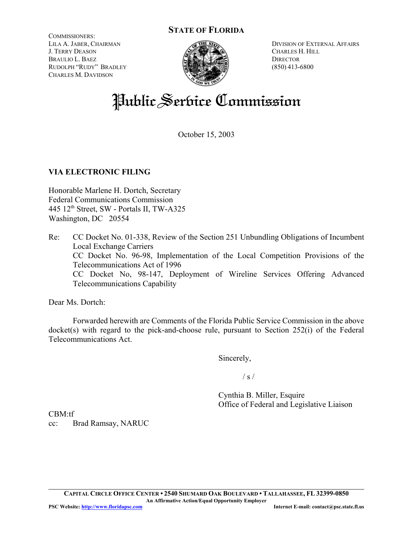# **STATE OF FLORIDA**

COMMISSIONERS: LILA A. JABER, CHAIRMAN J. TERRY DEASON BRAULIO L. BAEZ RUDOLPH "RUDY" BRADLEY CHARLES M. DAVIDSON



DIVISION OF EXTERNAL AFFAIRS CHARLES H. HILL **DIRECTOR** (850) 413-6800

# Public Service Commission

October 15, 2003

## **VIA ELECTRONIC FILING**

Honorable Marlene H. Dortch, Secretary Federal Communications Commission  $445$  12<sup>th</sup> Street, SW - Portals II, TW-A325 Washington, DC 20554

Re: CC Docket No. 01-338, Review of the Section 251 Unbundling Obligations of Incumbent Local Exchange Carriers CC Docket No. 96-98, Implementation of the Local Competition Provisions of the Telecommunications Act of 1996 CC Docket No, 98-147, Deployment of Wireline Services Offering Advanced Telecommunications Capability

Dear Ms. Dortch:

Forwarded herewith are Comments of the Florida Public Service Commission in the above docket(s) with regard to the pick-and-choose rule, pursuant to Section 252(i) of the Federal Telecommunications Act.

Sincerely,

 $/ s /$ 

Cynthia B. Miller, Esquire Office of Federal and Legislative Liaison

CBM:tf cc: Brad Ramsay, NARUC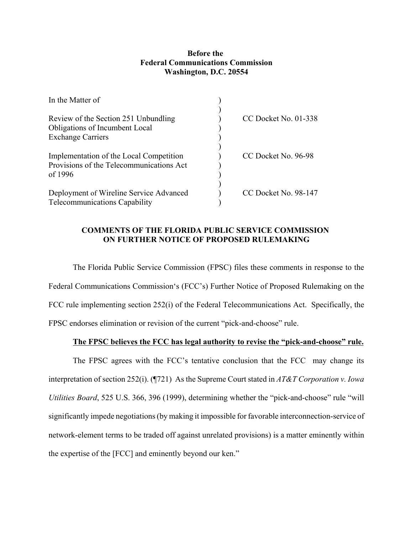### **Before the Federal Communications Commission Washington, D.C. 20554**

| In the Matter of                                                                               |                      |
|------------------------------------------------------------------------------------------------|----------------------|
| Review of the Section 251 Unbundling<br>Obligations of Incumbent Local                         | CC Docket No. 01-338 |
| <b>Exchange Carriers</b>                                                                       |                      |
| Implementation of the Local Competition<br>Provisions of the Telecommunications Act<br>of 1996 | CC Docket No. 96-98  |
| Deployment of Wireline Service Advanced<br><b>Telecommunications Capability</b>                | CC Docket No. 98-147 |

### **COMMENTS OF THE FLORIDA PUBLIC SERVICE COMMISSION ON FURTHER NOTICE OF PROPOSED RULEMAKING**

The Florida Public Service Commission (FPSC) files these comments in response to the Federal Communications Commission's (FCC's) Further Notice of Proposed Rulemaking on the FCC rule implementing section 252(i) of the Federal Telecommunications Act. Specifically, the FPSC endorses elimination or revision of the current "pick-and-choose" rule.

### **The FPSC believes the FCC has legal authority to revise the "pick-and-choose" rule.**

The FPSC agrees with the FCC's tentative conclusion that the FCC may change its interpretation of section 252(i). (¶721) As the Supreme Court stated in *AT&T Corporation v. Iowa Utilities Board*, 525 U.S. 366, 396 (1999), determining whether the "pick-and-choose" rule "will significantly impede negotiations (by making it impossible for favorable interconnection-service of network-element terms to be traded off against unrelated provisions) is a matter eminently within the expertise of the [FCC] and eminently beyond our ken."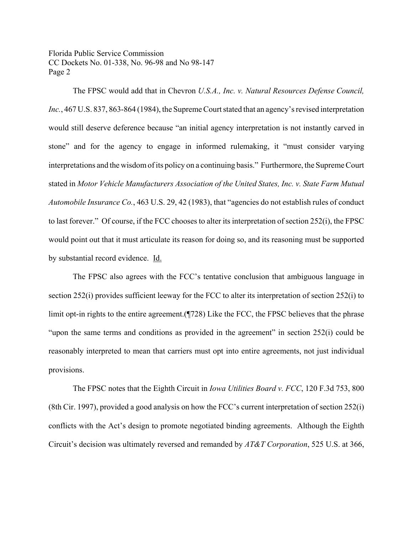The FPSC would add that in Chevron *U.S.A., Inc. v. Natural Resources Defense Council, Inc.*, 467 U.S. 837, 863-864 (1984), the Supreme Court stated that an agency's revised interpretation would still deserve deference because "an initial agency interpretation is not instantly carved in stone" and for the agency to engage in informed rulemaking, it "must consider varying interpretations and the wisdom of its policy on a continuing basis." Furthermore, the Supreme Court stated in *Motor Vehicle Manufacturers Association of the United States, Inc. v. State Farm Mutual Automobile Insurance Co.*, 463 U.S. 29, 42 (1983), that "agencies do not establish rules of conduct to last forever." Of course, if the FCC chooses to alter its interpretation of section 252(i), the FPSC would point out that it must articulate its reason for doing so, and its reasoning must be supported by substantial record evidence. Id.

The FPSC also agrees with the FCC's tentative conclusion that ambiguous language in section 252(i) provides sufficient leeway for the FCC to alter its interpretation of section 252(i) to limit opt-in rights to the entire agreement.(¶728) Like the FCC, the FPSC believes that the phrase "upon the same terms and conditions as provided in the agreement" in section  $252(i)$  could be reasonably interpreted to mean that carriers must opt into entire agreements, not just individual provisions.

The FPSC notes that the Eighth Circuit in *Iowa Utilities Board v. FCC*, 120 F.3d 753, 800 (8th Cir. 1997), provided a good analysis on how the FCC's current interpretation of section 252(i) conflicts with the Act's design to promote negotiated binding agreements. Although the Eighth Circuit's decision was ultimately reversed and remanded by *AT&T Corporation*, 525 U.S. at 366,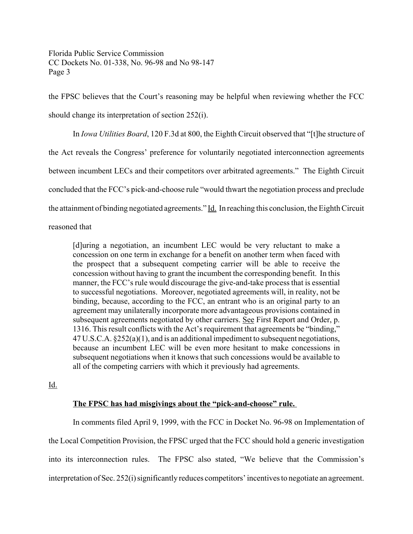the FPSC believes that the Court's reasoning may be helpful when reviewing whether the FCC should change its interpretation of section 252(i).

In *Iowa Utilities Board*, 120 F.3d at 800, the Eighth Circuit observed that "[t]he structure of the Act reveals the Congress' preference for voluntarily negotiated interconnection agreements between incumbent LECs and their competitors over arbitrated agreements." The Eighth Circuit concluded that the FCC's pick-and-choose rule "would thwart the negotiation process and preclude the attainment of binding negotiated agreements." Id. In reaching this conclusion, the Eighth Circuit

reasoned that

[d]uring a negotiation, an incumbent LEC would be very reluctant to make a concession on one term in exchange for a benefit on another term when faced with the prospect that a subsequent competing carrier will be able to receive the concession without having to grant the incumbent the corresponding benefit. In this manner, the FCC's rule would discourage the give-and-take process that is essential to successful negotiations. Moreover, negotiated agreements will, in reality, not be binding, because, according to the FCC, an entrant who is an original party to an agreement may unilaterally incorporate more advantageous provisions contained in subsequent agreements negotiated by other carriers. See First Report and Order, p. 1316. This result conflicts with the Act's requirement that agreements be "binding," 47 U.S.C.A. §252(a)(1), and is an additional impediment to subsequent negotiations, because an incumbent LEC will be even more hesitant to make concessions in subsequent negotiations when it knows that such concessions would be available to all of the competing carriers with which it previously had agreements.

Id.

## **The FPSC has had misgivings about the "pick-and-choose" rule.**

In comments filed April 9, 1999, with the FCC in Docket No. 96-98 on Implementation of the Local Competition Provision, the FPSC urged that the FCC should hold a generic investigation into its interconnection rules. The FPSC also stated, "We believe that the Commission's interpretation of Sec. 252(i) significantly reduces competitors' incentives to negotiate an agreement.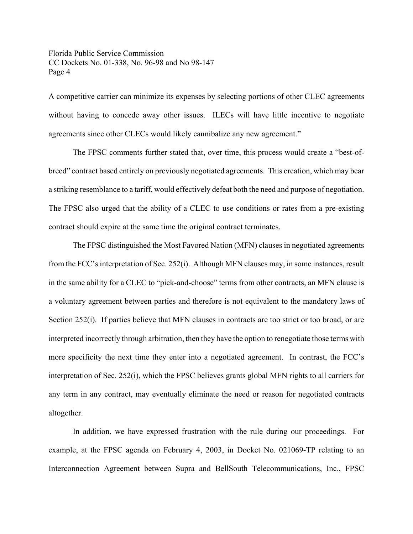A competitive carrier can minimize its expenses by selecting portions of other CLEC agreements without having to concede away other issues. ILECs will have little incentive to negotiate agreements since other CLECs would likely cannibalize any new agreement."

The FPSC comments further stated that, over time, this process would create a "best-ofbreed" contract based entirely on previously negotiated agreements. This creation, which may bear a striking resemblance to a tariff, would effectively defeat both the need and purpose of negotiation. The FPSC also urged that the ability of a CLEC to use conditions or rates from a pre-existing contract should expire at the same time the original contract terminates.

The FPSC distinguished the Most Favored Nation (MFN) clauses in negotiated agreements from the FCC's interpretation of Sec. 252(i). Although MFN clauses may, in some instances, result in the same ability for a CLEC to "pick-and-choose" terms from other contracts, an MFN clause is a voluntary agreement between parties and therefore is not equivalent to the mandatory laws of Section 252(i). If parties believe that MFN clauses in contracts are too strict or too broad, or are interpreted incorrectly through arbitration, then they have the option to renegotiate those terms with more specificity the next time they enter into a negotiated agreement. In contrast, the FCC's interpretation of Sec. 252(i), which the FPSC believes grants global MFN rights to all carriers for any term in any contract, may eventually eliminate the need or reason for negotiated contracts altogether.

In addition, we have expressed frustration with the rule during our proceedings. For example, at the FPSC agenda on February 4, 2003, in Docket No. 021069-TP relating to an Interconnection Agreement between Supra and BellSouth Telecommunications, Inc., FPSC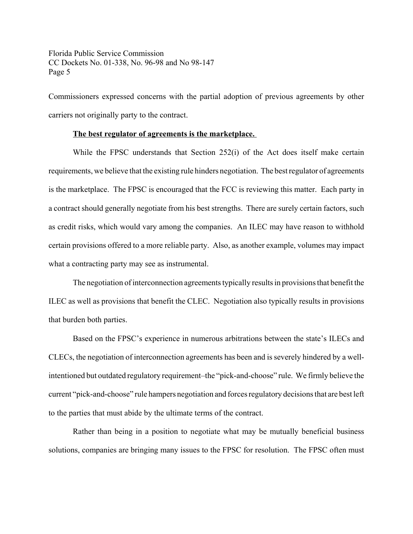Commissioners expressed concerns with the partial adoption of previous agreements by other carriers not originally party to the contract.

#### **The best regulator of agreements is the marketplace.**

While the FPSC understands that Section 252(i) of the Act does itself make certain requirements, we believe that the existing rule hinders negotiation. The best regulator of agreements is the marketplace. The FPSC is encouraged that the FCC is reviewing this matter. Each party in a contract should generally negotiate from his best strengths. There are surely certain factors, such as credit risks, which would vary among the companies. An ILEC may have reason to withhold certain provisions offered to a more reliable party. Also, as another example, volumes may impact what a contracting party may see as instrumental.

The negotiation of interconnection agreements typically results in provisions that benefit the ILEC as well as provisions that benefit the CLEC. Negotiation also typically results in provisions that burden both parties.

Based on the FPSC's experience in numerous arbitrations between the state's ILECs and CLECs, the negotiation of interconnection agreements has been and is severely hindered by a wellintentioned but outdated regulatory requirement–the "pick-and-choose" rule. We firmly believe the current "pick-and-choose" rule hampers negotiation and forces regulatory decisions that are best left to the parties that must abide by the ultimate terms of the contract.

Rather than being in a position to negotiate what may be mutually beneficial business solutions, companies are bringing many issues to the FPSC for resolution. The FPSC often must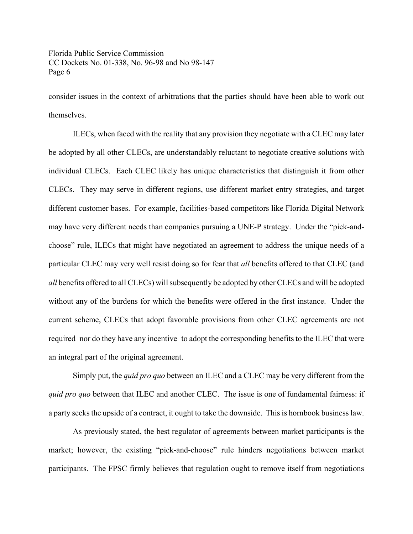consider issues in the context of arbitrations that the parties should have been able to work out themselves.

ILECs, when faced with the reality that any provision they negotiate with a CLEC may later be adopted by all other CLECs, are understandably reluctant to negotiate creative solutions with individual CLECs. Each CLEC likely has unique characteristics that distinguish it from other CLECs. They may serve in different regions, use different market entry strategies, and target different customer bases. For example, facilities-based competitors like Florida Digital Network may have very different needs than companies pursuing a UNE-P strategy. Under the "pick-andchoose" rule, ILECs that might have negotiated an agreement to address the unique needs of a particular CLEC may very well resist doing so for fear that *all* benefits offered to that CLEC (and *all* benefits offered to all CLECs) will subsequently be adopted by other CLECs and will be adopted without any of the burdens for which the benefits were offered in the first instance. Under the current scheme, CLECs that adopt favorable provisions from other CLEC agreements are not required–nor do they have any incentive–to adopt the corresponding benefits to the ILEC that were an integral part of the original agreement.

Simply put, the *quid pro quo* between an ILEC and a CLEC may be very different from the *quid pro quo* between that ILEC and another CLEC. The issue is one of fundamental fairness: if a party seeks the upside of a contract, it ought to take the downside. This is hornbook business law.

As previously stated, the best regulator of agreements between market participants is the market; however, the existing "pick-and-choose" rule hinders negotiations between market participants. The FPSC firmly believes that regulation ought to remove itself from negotiations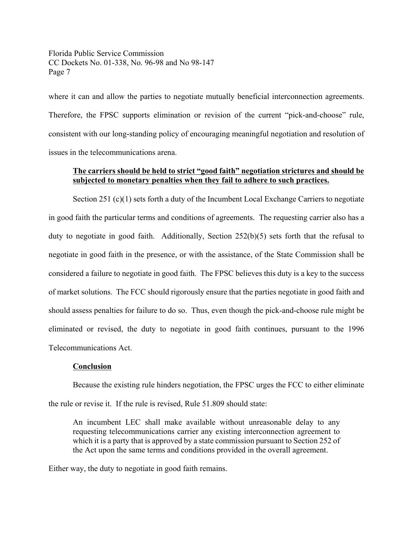where it can and allow the parties to negotiate mutually beneficial interconnection agreements. Therefore, the FPSC supports elimination or revision of the current "pick-and-choose" rule, consistent with our long-standing policy of encouraging meaningful negotiation and resolution of issues in the telecommunications arena.

## **The carriers should be held to strict "good faith" negotiation strictures and should be subjected to monetary penalties when they fail to adhere to such practices.**

Section 251 (c)(1) sets forth a duty of the Incumbent Local Exchange Carriers to negotiate in good faith the particular terms and conditions of agreements. The requesting carrier also has a duty to negotiate in good faith. Additionally, Section 252(b)(5) sets forth that the refusal to negotiate in good faith in the presence, or with the assistance, of the State Commission shall be considered a failure to negotiate in good faith. The FPSC believes this duty is a key to the success of market solutions. The FCC should rigorously ensure that the parties negotiate in good faith and should assess penalties for failure to do so. Thus, even though the pick-and-choose rule might be eliminated or revised, the duty to negotiate in good faith continues, pursuant to the 1996 Telecommunications Act.

#### **Conclusion**

Because the existing rule hinders negotiation, the FPSC urges the FCC to either eliminate the rule or revise it. If the rule is revised, Rule 51.809 should state:

An incumbent LEC shall make available without unreasonable delay to any requesting telecommunications carrier any existing interconnection agreement to which it is a party that is approved by a state commission pursuant to Section 252 of the Act upon the same terms and conditions provided in the overall agreement.

Either way, the duty to negotiate in good faith remains.